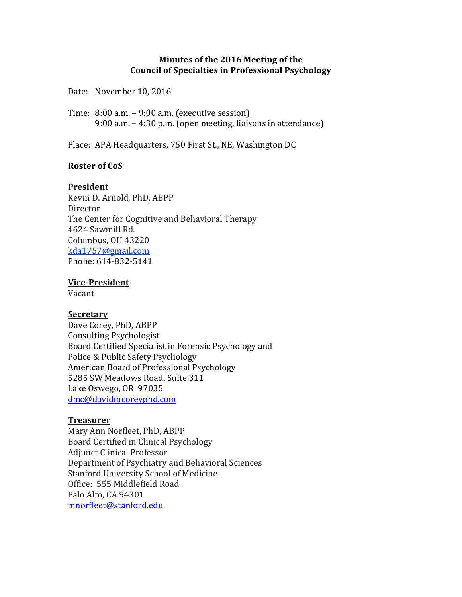# **Minutes of the 2016 Meeting of the Council of Specialties in Professional Psychology**

Date: November 10, 2016

Time: 8:00 a.m. – 9:00 a.m. (executive session) 9:00 a.m. – 4:30 p.m. (open meeting, liaisons in attendance)

Place: APA Headquarters, 750 First St., NE, Washington DC

# **Roster of CoS**

### **President**

Kevin D. Arnold, PhD, ABPP Director The Center for Cognitive and Behavioral Therapy 4624 Sawmill Rd. Columbus, OH 43220 [kda1757@gmail.com](mailto:kda1757@gmail.com) Phone: 614-832-5141

# **Vice-President**

Vacant

### **Secretary**

Dave Corey, PhD, ABPP Consulting Psychologist Board Certified Specialist in Forensic Psychology and Police & Public Safety Psychology American Board of Professional Psychology 5285 SW Meadows Road, Suite 311 Lake Oswego, OR 97035 [dmc@davidmcoreyphd.com](mailto:dmc@davidmcoreyphd.comPresident)

### **Treasurer**

Mary Ann Norfleet, PhD, ABPP Board Certified in Clinical Psychology Adjunct Clinical Professor Department of Psychiatry and Behavioral Sciences Stanford University School of Medicine Office: 555 Middlefield Road Palo Alto, CA 94301 [mnorfleet@stanford.edu](mailto:mnorfleet@stanford.edu)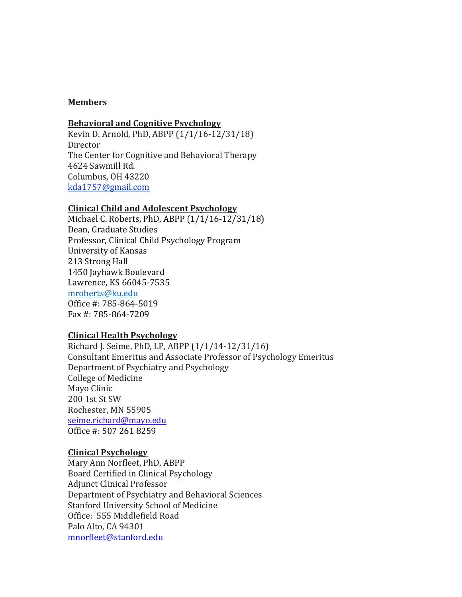### **Members**

### **Behavioral and Cognitive Psychology**

Kevin D. Arnold, PhD, ABPP (1/1/16-12/31/18) Director The Center for Cognitive and Behavioral Therapy 4624 Sawmill Rd. Columbus, OH 43220 [kda1757@gmail.com](mailto:kda1757@gmail.com)

### **Clinical Child and Adolescent Psychology**

Michael C. Roberts, PhD, ABPP (1/1/16-12/31/18) Dean, Graduate Studies Professor, Clinical Child Psychology Program University of Kansas 213 Strong Hall 1450 Jayhawk Boulevard Lawrence, KS 66045-7535 [mroberts@ku.edu](mailto:mroberts@ku.edu) Office #: 785-864-5019 Fax #: 785-864-7209

### **Clinical Health Psychology**

Richard J. Seime, PhD, LP, ABPP (1/1/14-12/31/16) Consultant Emeritus and Associate Professor of Psychology Emeritus Department of Psychiatry and Psychology College of Medicine Mayo Clinic 200 1st St SW Rochester, MN 55905 [seime.richard@mayo.edu](mailto:seime.richard@mayo.edu) Office #: 507 261 8259

### **Clinical Psychology**

Mary Ann Norfleet, PhD, ABPP Board Certified in Clinical Psychology Adjunct Clinical Professor Department of Psychiatry and Behavioral Sciences Stanford University School of Medicine Office: 555 Middlefield Road Palo Alto, CA 94301 [mnorfleet@stanford.edu](mailto:mnorfleet@stanford.edu)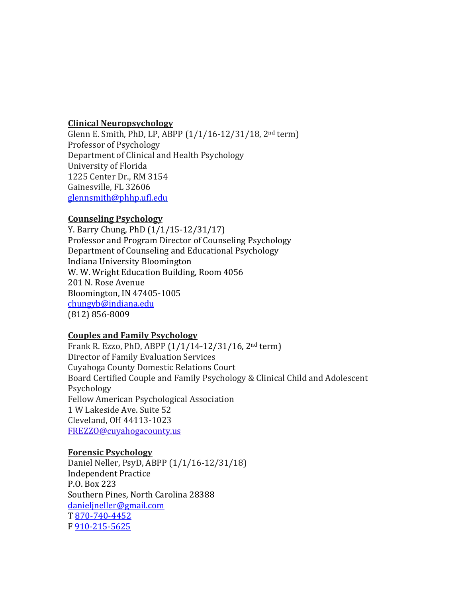### **Clinical Neuropsychology**

Glenn E. Smith, PhD, LP, ABPP (1/1/16-12/31/18, 2nd term) Professor of Psychology Department of Clinical and Health Psychology University of Florida 1225 Center Dr., RM 3154 Gainesville, FL 32606 [glennsmith@phhp.ufl.edu](mailto:glennsmith@phhp.ufl.edu)

# **Counseling Psychology**

Y. Barry Chung, PhD (1/1/15-12/31/17) Professor and Program Director of Counseling Psychology Department of Counseling and Educational Psychology Indiana University Bloomington W. W. Wright Education Building, Room 4056 201 N. Rose Avenue Bloomington, IN 47405-1005 [chungyb@indiana.edu](mailto:chungyb@indiana.edu) (812) 856-8009

# **Couples and Family Psychology**

Frank R. Ezzo, PhD, ABPP (1/1/14-12/31/16, 2nd term) Director of Family Evaluation Services Cuyahoga County Domestic Relations Court Board Certified Couple and Family Psychology & Clinical Child and Adolescent Psychology Fellow American Psychological Association 1 W Lakeside Ave. Suite 52 Cleveland, OH 44113-1023 FREZZO@cuyahogacounty.us

# **Forensic Psychology**

Daniel Neller, PsyD, ABPP (1/1/16-12/31/18) Independent Practice P.O. Box 223 Southern Pines, North Carolina 28388 [danieljneller@gmail.com](mailto:danieljneller@gmail.com) T [870-740-4452](tel:870-740-4452) F [910-215-5625](tel:910-215-5625)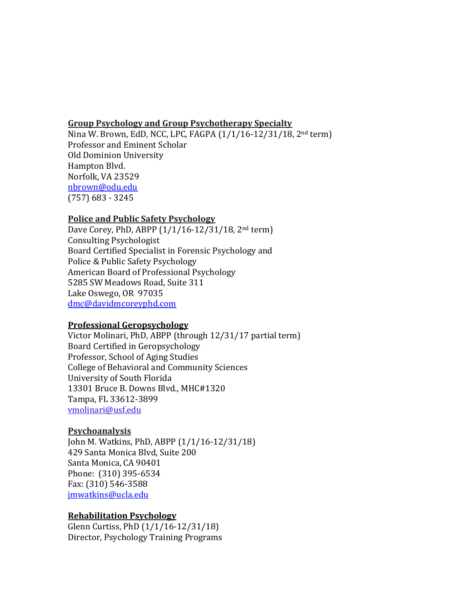### **Group Psychology and Group Psychotherapy Specialty**

Nina W. Brown, EdD, NCC, LPC, FAGPA (1/1/16-12/31/18, 2nd term) Professor and Eminent Scholar Old Dominion University Hampton Blvd. Norfolk, VA 23529 [nbrown@odu.edu](mailto:nbrown@odu.edu) (757) 683 - 3245

### **Police and Public Safety Psychology**

Dave Corey, PhD, ABPP (1/1/16-12/31/18, 2nd term) Consulting Psychologist Board Certified Specialist in Forensic Psychology and Police & Public Safety Psychology American Board of Professional Psychology 5285 SW Meadows Road, Suite 311 Lake Oswego, OR 97035 [dmc@davidmcoreyphd.com](mailto:dmc@davidmcoreyphd.comPresident)

### **Professional Geropsychology**

Victor Molinari, PhD, ABPP (through 12/31/17 partial term) Board Certified in Geropsychology Professor, School of Aging Studies College of Behavioral and Community Sciences University of South Florida 13301 Bruce B. Downs Blvd., MHC#1320 Tampa, FL 33612-3899 [vmolinari@usf.edu](mailto:vmolinari@usf.edu)

### **Psychoanalysis**

John M. Watkins, PhD, ABPP (1/1/16-12/31/18) 429 Santa Monica Blvd, Suite 200 Santa Monica, CA 90401 Phone: (310) 395-6534 Fax: (310) 546-3588 [jmwatkins@ucla.edu](mailto:jmwatkins@ucla.edu)

### **Rehabilitation Psychology**

Glenn Curtiss, PhD (1/1/16-12/31/18) Director, Psychology Training Programs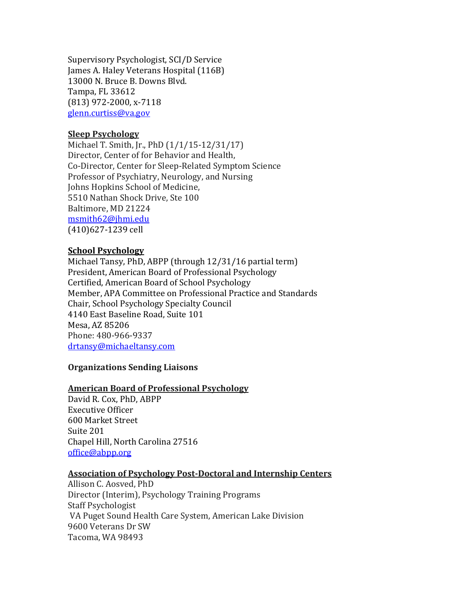Supervisory Psychologist, SCI/D Service James A. Haley Veterans Hospital (116B) 13000 N. Bruce B. Downs Blvd. Tampa, FL 33612 (813) 972-2000, x-7118 [glenn.curtiss@va.gov](mailto:glenn.curtiss@va.gov)

# **Sleep Psychology**

Michael T. Smith, Jr., PhD (1/1/15-12/31/17) Director, Center of for Behavior and Health, Co-Director, Center for Sleep-Related Symptom Science Professor of Psychiatry, Neurology, and Nursing Johns Hopkins School of Medicine, 5510 Nathan Shock Drive, Ste 100 Baltimore, MD 21224 [msmith62@jhmi.edu](mailto:msmith62@jhmi.edu) (410)627-1239 cell

# **School Psychology**

Michael Tansy, PhD, ABPP (through 12/31/16 partial term) President, American Board of Professional Psychology Certified, American Board of School Psychology Member, APA Committee on Professional Practice and Standards Chair, School Psychology Specialty Council 4140 East Baseline Road, Suite 101 Mesa, AZ 85206 Phone: 480-966-9337 [drtansy@michaeltansy.com](mailto:drtansy@michaeltansy.com)

### **Organizations Sending Liaisons**

### **American Board of Professional Psychology**

David R. Cox, PhD, ABPP Executive Officer 600 Market Street Suite 201 Chapel Hill, North Carolina 27516 [office@abpp.org](mailto:office@abpp.org)

### **Association of Psychology Post-Doctoral and Internship Centers**

Allison C. Aosved, PhD Director (Interim), Psychology Training Programs Staff Psychologist VA Puget Sound Health Care System, American Lake Division 9600 Veterans Dr SW Tacoma, WA 98493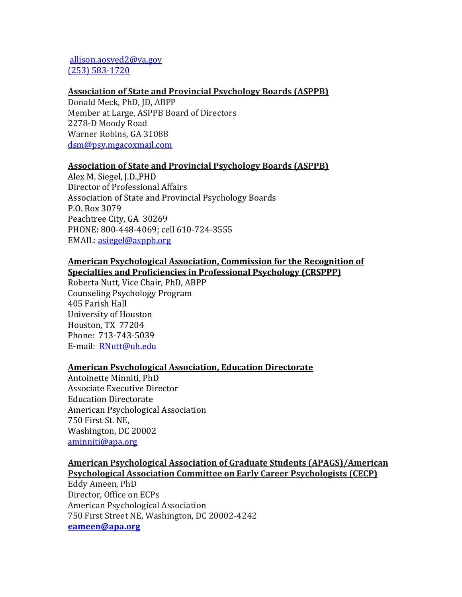# [allison.aosved2@va.gov](mailto:allison.aosved2@va.gov) [\(253\) 583-1720](tel:%28253%29%20583-1720)

### **Association of State and Provincial Psychology Boards (ASPPB)**

Donald Meck, PhD, JD, ABPP Member at Large, ASPPB Board of Directors 2278-D Moody Road Warner Robins, GA 31088 [dsm@psy.mgacoxmail.com](mailto:dsm@psy.mgacoxmail.com)

### **Association of State and Provincial Psychology Boards (ASPPB)**

Alex M. Siegel, J.D.,PHD Director of Professional Affairs Association of State and Provincial Psychology Boards P.O. Box 3079 Peachtree City, GA 30269 PHONE: 800-448-4069; cell 610-724-3555 EMAIL: [asiegel@asppb.org](mailto:asiegel@asppb.org)

### **American Psychological Association, Commission for the Recognition of Specialties and Proficiencies in Professional Psychology (CRSPPP)**

Roberta Nutt, Vice Chair, PhD, ABPP Counseling Psychology Program 405 Farish Hall University of Houston Houston, TX 77204 Phone: 713-743-5039 E-mail: **[RNutt@uh.edu](mailto:RNutt@uh.edu)** 

### **American Psychological Association, Education Directorate**

Antoinette Minniti, PhD Associate Executive Director Education Directorate American Psychological Association 750 First St. NE, Washington, DC 20002 [aminniti@apa.org](mailto:aminniti@apa.org)

# **American Psychological Association of Graduate Students (APAGS)/American Psychological Association Committee on Early Career Psychologists (CECP)**

Eddy Ameen, PhD Director, Office on ECPs American Psychological Association 750 First Street NE, Washington, DC 20002-4242 **[eameen@apa.org](mailto:eameen@apa.org)**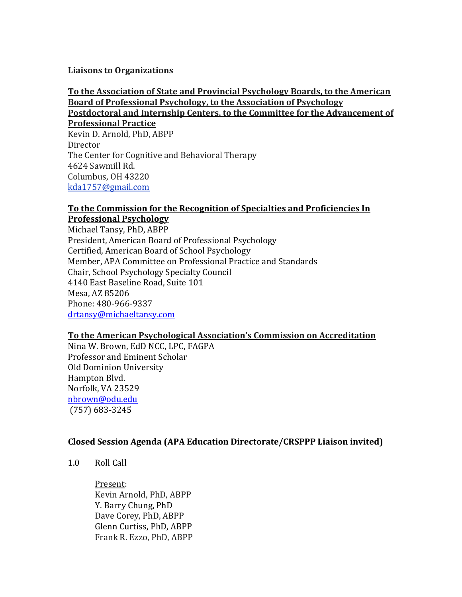# **Liaisons to Organizations**

### **To the Association of State and Provincial Psychology Boards, to the American Board of Professional Psychology, to the Association of Psychology Postdoctoral and Internship Centers, to the Committee for the Advancement of**

**Professional Practice** Kevin D. Arnold, PhD, ABPP **Director** The Center for Cognitive and Behavioral Therapy 4624 Sawmill Rd. Columbus, OH 43220 [kda1757@gmail.com](mailto:kda1757@gmail.com)

### **To the Commission for the Recognition of Specialties and Proficiencies In Professional Psychology**

Michael Tansy, PhD, ABPP President, American Board of Professional Psychology Certified, American Board of School Psychology Member, APA Committee on Professional Practice and Standards Chair, School Psychology Specialty Council 4140 East Baseline Road, Suite 101 Mesa, AZ 85206 Phone: 480-966-9337 [drtansy@michaeltansy.com](mailto:drtansy@michaeltansy.com)

# **To the American Psychological Association's Commission on Accreditation**

Nina W. Brown, EdD NCC, LPC, FAGPA Professor and Eminent Scholar Old Dominion University Hampton Blvd. Norfolk, VA 23529 [nbrown@odu.edu](mailto:nbrown@odu.edu) (757) 683-3245

# **Closed Session Agenda (APA Education Directorate/CRSPPP Liaison invited)**

1.0 Roll Call

Present: Kevin Arnold, PhD, ABPP Y. Barry Chung, PhD Dave Corey, PhD, ABPP Glenn Curtiss, PhD, ABPP Frank R. Ezzo, PhD, ABPP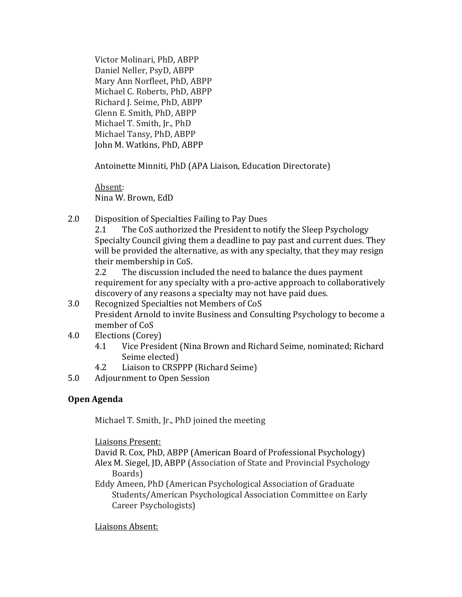Victor Molinari, PhD, ABPP Daniel Neller, PsyD, ABPP Mary Ann Norfleet, PhD, ABPP Michael C. Roberts, PhD, ABPP Richard J. Seime, PhD, ABPP Glenn E. Smith, PhD, ABPP Michael T. Smith, Jr., PhD Michael Tansy, PhD, ABPP John M. Watkins, PhD, ABPP

Antoinette Minniti, PhD (APA Liaison, Education Directorate)

Absent: Nina W. Brown, EdD

2.0 Disposition of Specialties Failing to Pay Dues

2.1 The CoS authorized the President to notify the Sleep Psychology Specialty Council giving them a deadline to pay past and current dues. They will be provided the alternative, as with any specialty, that they may resign their membership in CoS.

2.2 The discussion included the need to balance the dues payment requirement for any specialty with a pro-active approach to collaboratively discovery of any reasons a specialty may not have paid dues.

- 3.0 Recognized Specialties not Members of CoS President Arnold to invite Business and Consulting Psychology to become a member of CoS
- 4.0 Elections (Corey)
	- 4.1 Vice President (Nina Brown and Richard Seime, nominated; Richard Seime elected)
	- 4.2 Liaison to CRSPPP (Richard Seime)
- 5.0 Adjournment to Open Session

# **Open Agenda**

Michael T. Smith, Jr., PhD joined the meeting

Liaisons Present:

David R. Cox, PhD, ABPP (American Board of Professional Psychology) Alex M. Siegel, JD, ABPP (Association of State and Provincial Psychology Boards)

Eddy Ameen, PhD (American Psychological Association of Graduate Students/American Psychological Association Committee on Early Career Psychologists)

Liaisons Absent: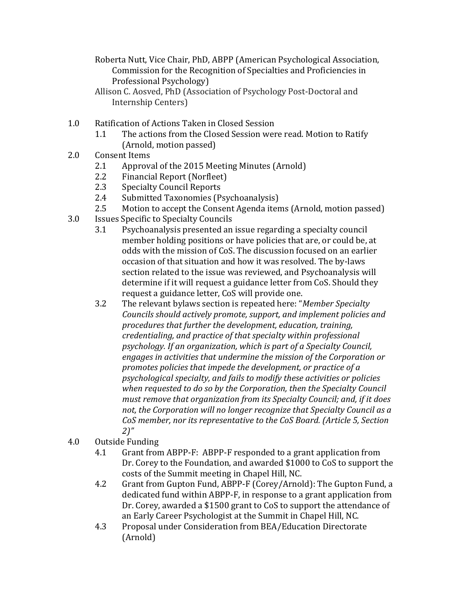Roberta Nutt, Vice Chair, PhD, ABPP (American Psychological Association, Commission for the Recognition of Specialties and Proficiencies in Professional Psychology)

- Allison C. Aosved, PhD (Association of Psychology Post-Doctoral and Internship Centers)
- 1.0 Ratification of Actions Taken in Closed Session
	- 1.1 The actions from the Closed Session were read. Motion to Ratify (Arnold, motion passed)
- 2.0 Consent Items
	- 2.1 Approval of the 2015 Meeting Minutes (Arnold)
	- 2.2 Financial Report (Norfleet)
	- 2.3 Specialty Council Reports
	- 2.4 Submitted Taxonomies (Psychoanalysis)
	- 2.5 Motion to accept the Consent Agenda items (Arnold, motion passed)
- 3.0 Issues Specific to Specialty Councils
	- 3.1 Psychoanalysis presented an issue regarding a specialty council member holding positions or have policies that are, or could be, at odds with the mission of CoS. The discussion focused on an earlier occasion of that situation and how it was resolved. The by-laws section related to the issue was reviewed, and Psychoanalysis will determine if it will request a guidance letter from CoS. Should they request a guidance letter, CoS will provide one.
	- 3.2 The relevant bylaws section is repeated here: "*Member Specialty Councils should actively promote, support, and implement policies and procedures that further the development, education, training, credentialing, and practice of that specialty within professional psychology. If an organization, which is part of a Specialty Council, engages in activities that undermine the mission of the Corporation or promotes policies that impede the development, or practice of a psychological specialty, and fails to modify these activities or policies when requested to do so by the Corporation, then the Specialty Council must remove that organization from its Specialty Council; and, if it does not, the Corporation will no longer recognize that Specialty Council as a CoS member, nor its representative to the CoS Board. (Article 5, Section 2)"*
- 4.0 Outside Funding
	- 4.1 Grant from ABPP-F: ABPP-F responded to a grant application from Dr. Corey to the Foundation, and awarded \$1000 to CoS to support the costs of the Summit meeting in Chapel Hill, NC.
	- 4.2 Grant from Gupton Fund, ABPP-F (Corey/Arnold): The Gupton Fund, a dedicated fund within ABPP-F, in response to a grant application from Dr. Corey, awarded a \$1500 grant to CoS to support the attendance of an Early Career Psychologist at the Summit in Chapel Hill, NC.
	- 4.3 Proposal under Consideration from BEA/Education Directorate (Arnold)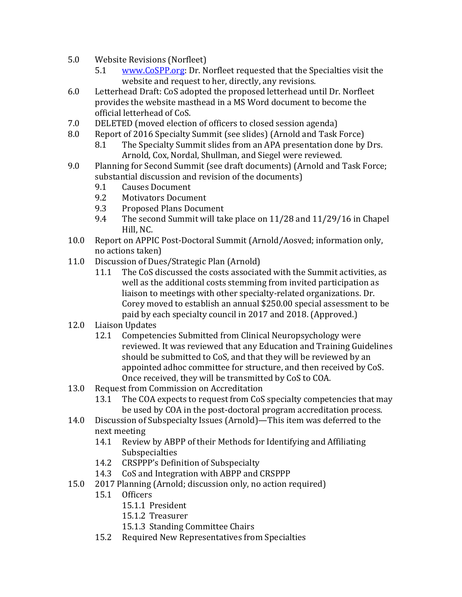- 5.0 Website Revisions (Norfleet)
	- 5.1 [www.CoSPP.org:](http://www.cospp.org/) Dr. Norfleet requested that the Specialties visit the website and request to her, directly, any revisions.
- 6.0 Letterhead Draft: CoS adopted the proposed letterhead until Dr. Norfleet provides the website masthead in a MS Word document to become the official letterhead of CoS.
- 7.0 DELETED (moved election of officers to closed session agenda)
- 8.0 Report of 2016 Specialty Summit (see slides) (Arnold and Task Force)
	- 8.1 The Specialty Summit slides from an APA presentation done by Drs. Arnold, Cox, Nordal, Shullman, and Siegel were reviewed.
- 9.0 Planning for Second Summit (see draft documents) (Arnold and Task Force; substantial discussion and revision of the documents)
	- 9.1 Causes Document
	- 9.2 Motivators Document
	- 9.3 Proposed Plans Document
	- 9.4 The second Summit will take place on 11/28 and 11/29/16 in Chapel Hill, NC.
- 10.0 Report on APPIC Post-Doctoral Summit (Arnold/Aosved; information only, no actions taken)
- 11.0 Discussion of Dues/Strategic Plan (Arnold)
	- 11.1 The CoS discussed the costs associated with the Summit activities, as well as the additional costs stemming from invited participation as liaison to meetings with other specialty-related organizations. Dr. Corey moved to establish an annual \$250.00 special assessment to be paid by each specialty council in 2017 and 2018. (Approved.)
- 12.0 Liaison Updates
	- 12.1 Competencies Submitted from Clinical Neuropsychology were reviewed. It was reviewed that any Education and Training Guidelines should be submitted to CoS, and that they will be reviewed by an appointed adhoc committee for structure, and then received by CoS. Once received, they will be transmitted by CoS to COA.
- 13.0 Request from Commission on Accreditation
	- 13.1 The COA expects to request from CoS specialty competencies that may be used by COA in the post-doctoral program accreditation process.
- 14.0 Discussion of Subspecialty Issues (Arnold)—This item was deferred to the next meeting
	- 14.1 Review by ABPP of their Methods for Identifying and Affiliating Subspecialties
	- 14.2 CRSPPP's Definition of Subspecialty
	- 14.3 CoS and Integration with ABPP and CRSPPP
- 15.0 2017 Planning (Arnold; discussion only, no action required)
	- 15.1 Officers
		- 15.1.1 President
		- 15.1.2 Treasurer
		- 15.1.3 Standing Committee Chairs
		- 15.2 Required New Representatives from Specialties